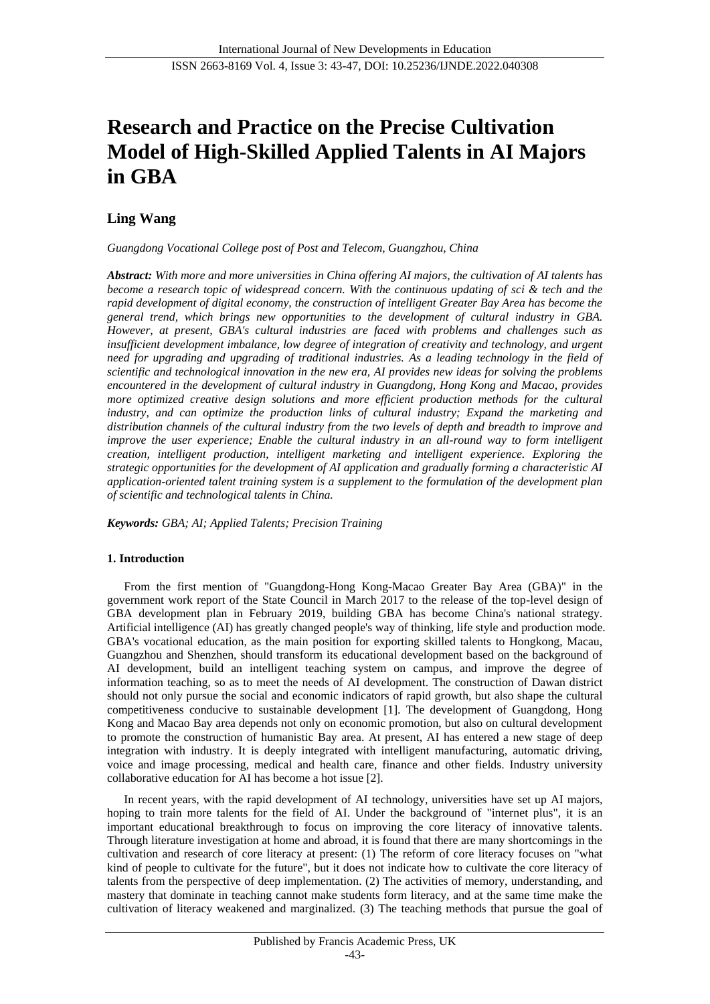# **Research and Practice on the Precise Cultivation Model of High-Skilled Applied Talents in AI Majors in GBA**

# **Ling Wang**

*Guangdong Vocational College post of Post and Telecom, Guangzhou, China*

*Abstract: With more and more universities in China offering AI majors, the cultivation of AI talents has become a research topic of widespread concern. With the continuous updating of sci & tech and the rapid development of digital economy, the construction of intelligent Greater Bay Area has become the general trend, which brings new opportunities to the development of cultural industry in GBA. However, at present, GBA's cultural industries are faced with problems and challenges such as insufficient development imbalance, low degree of integration of creativity and technology, and urgent need for upgrading and upgrading of traditional industries. As a leading technology in the field of scientific and technological innovation in the new era, AI provides new ideas for solving the problems encountered in the development of cultural industry in Guangdong, Hong Kong and Macao, provides more optimized creative design solutions and more efficient production methods for the cultural industry, and can optimize the production links of cultural industry; Expand the marketing and distribution channels of the cultural industry from the two levels of depth and breadth to improve and improve the user experience; Enable the cultural industry in an all-round way to form intelligent creation, intelligent production, intelligent marketing and intelligent experience. Exploring the strategic opportunities for the development of AI application and gradually forming a characteristic AI application-oriented talent training system is a supplement to the formulation of the development plan of scientific and technological talents in China.*

*Keywords: GBA; AI; Applied Talents; Precision Training*

# **1. Introduction**

From the first mention of "Guangdong-Hong Kong-Macao Greater Bay Area (GBA)" in the government work report of the State Council in March 2017 to the release of the top-level design of GBA development plan in February 2019, building GBA has become China's national strategy. Artificial intelligence (AI) has greatly changed people's way of thinking, life style and production mode. GBA's vocational education, as the main position for exporting skilled talents to Hongkong, Macau, Guangzhou and Shenzhen, should transform its educational development based on the background of AI development, build an intelligent teaching system on campus, and improve the degree of information teaching, so as to meet the needs of AI development. The construction of Dawan district should not only pursue the social and economic indicators of rapid growth, but also shape the cultural competitiveness conducive to sustainable development [1]. The development of Guangdong, Hong Kong and Macao Bay area depends not only on economic promotion, but also on cultural development to promote the construction of humanistic Bay area. At present, AI has entered a new stage of deep integration with industry. It is deeply integrated with intelligent manufacturing, automatic driving, voice and image processing, medical and health care, finance and other fields. Industry university collaborative education for AI has become a hot issue [2].

In recent years, with the rapid development of AI technology, universities have set up AI majors, hoping to train more talents for the field of AI. Under the background of "internet plus", it is an important educational breakthrough to focus on improving the core literacy of innovative talents. Through literature investigation at home and abroad, it is found that there are many shortcomings in the cultivation and research of core literacy at present: (1) The reform of core literacy focuses on "what kind of people to cultivate for the future", but it does not indicate how to cultivate the core literacy of talents from the perspective of deep implementation. (2) The activities of memory, understanding, and mastery that dominate in teaching cannot make students form literacy, and at the same time make the cultivation of literacy weakened and marginalized. (3) The teaching methods that pursue the goal of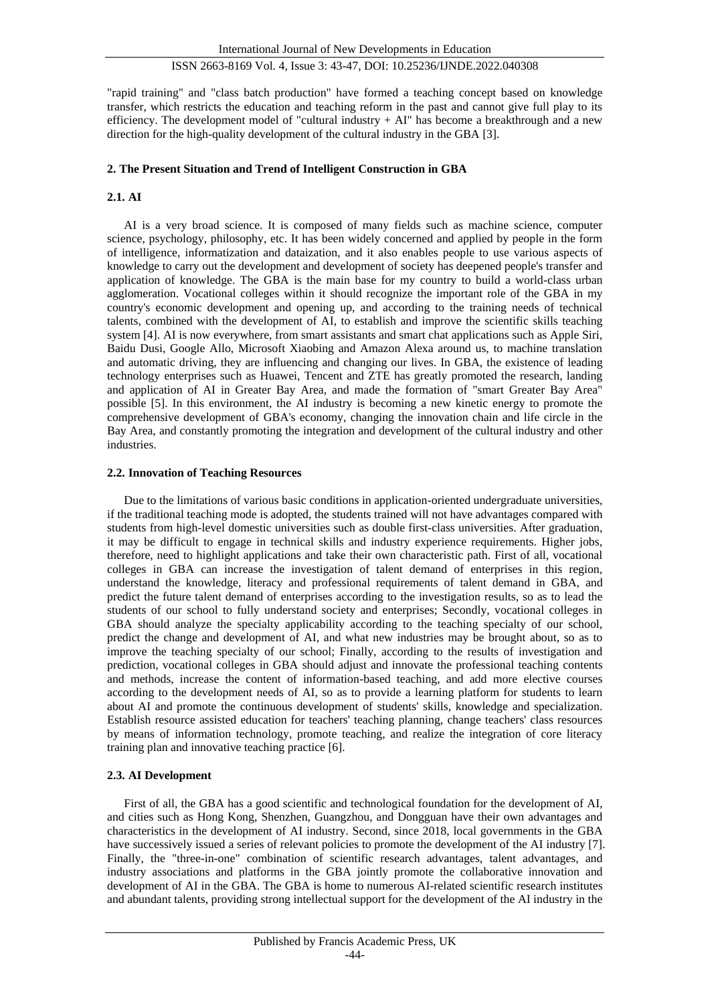"rapid training" and "class batch production" have formed a teaching concept based on knowledge transfer, which restricts the education and teaching reform in the past and cannot give full play to its efficiency. The development model of "cultural industry  $+ AI''$  has become a breakthrough and a new direction for the high-quality development of the cultural industry in the GBA [3].

#### **2. The Present Situation and Trend of Intelligent Construction in GBA**

#### **2.1. AI**

AI is a very broad science. It is composed of many fields such as machine science, computer science, psychology, philosophy, etc. It has been widely concerned and applied by people in the form of intelligence, informatization and dataization, and it also enables people to use various aspects of knowledge to carry out the development and development of society has deepened people's transfer and application of knowledge. The GBA is the main base for my country to build a world-class urban agglomeration. Vocational colleges within it should recognize the important role of the GBA in my country's economic development and opening up, and according to the training needs of technical talents, combined with the development of AI, to establish and improve the scientific skills teaching system [4]. AI is now everywhere, from smart assistants and smart chat applications such as Apple Siri, Baidu Dusi, Google Allo, Microsoft Xiaobing and Amazon Alexa around us, to machine translation and automatic driving, they are influencing and changing our lives. In GBA, the existence of leading technology enterprises such as Huawei, Tencent and ZTE has greatly promoted the research, landing and application of AI in Greater Bay Area, and made the formation of "smart Greater Bay Area" possible [5]. In this environment, the AI industry is becoming a new kinetic energy to promote the comprehensive development of GBA's economy, changing the innovation chain and life circle in the Bay Area, and constantly promoting the integration and development of the cultural industry and other industries.

#### **2.2. Innovation of Teaching Resources**

Due to the limitations of various basic conditions in application-oriented undergraduate universities, if the traditional teaching mode is adopted, the students trained will not have advantages compared with students from high-level domestic universities such as double first-class universities. After graduation, it may be difficult to engage in technical skills and industry experience requirements. Higher jobs, therefore, need to highlight applications and take their own characteristic path. First of all, vocational colleges in GBA can increase the investigation of talent demand of enterprises in this region, understand the knowledge, literacy and professional requirements of talent demand in GBA, and predict the future talent demand of enterprises according to the investigation results, so as to lead the students of our school to fully understand society and enterprises; Secondly, vocational colleges in GBA should analyze the specialty applicability according to the teaching specialty of our school, predict the change and development of AI, and what new industries may be brought about, so as to improve the teaching specialty of our school; Finally, according to the results of investigation and prediction, vocational colleges in GBA should adjust and innovate the professional teaching contents and methods, increase the content of information-based teaching, and add more elective courses according to the development needs of AI, so as to provide a learning platform for students to learn about AI and promote the continuous development of students' skills, knowledge and specialization. Establish resource assisted education for teachers' teaching planning, change teachers' class resources by means of information technology, promote teaching, and realize the integration of core literacy training plan and innovative teaching practice [6].

#### **2.3. AI Development**

First of all, the GBA has a good scientific and technological foundation for the development of AI, and cities such as Hong Kong, Shenzhen, Guangzhou, and Dongguan have their own advantages and characteristics in the development of AI industry. Second, since 2018, local governments in the GBA have successively issued a series of relevant policies to promote the development of the AI industry [7]. Finally, the "three-in-one" combination of scientific research advantages, talent advantages, and industry associations and platforms in the GBA jointly promote the collaborative innovation and development of AI in the GBA. The GBA is home to numerous AI-related scientific research institutes and abundant talents, providing strong intellectual support for the development of the AI industry in the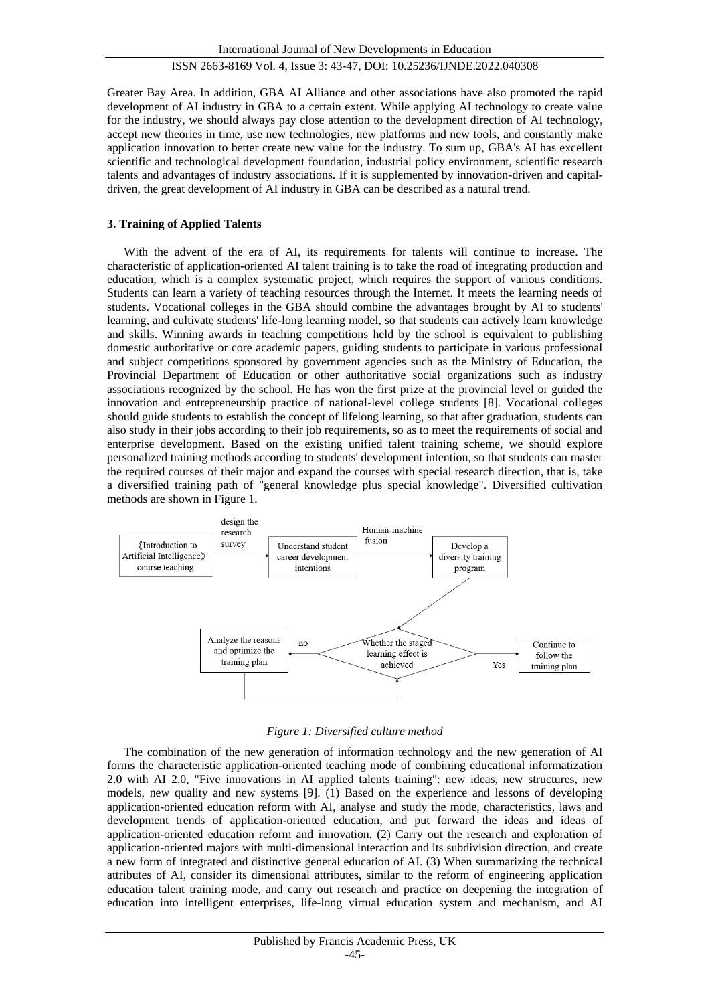Greater Bay Area. In addition, GBA AI Alliance and other associations have also promoted the rapid development of AI industry in GBA to a certain extent. While applying AI technology to create value for the industry, we should always pay close attention to the development direction of AI technology, accept new theories in time, use new technologies, new platforms and new tools, and constantly make application innovation to better create new value for the industry. To sum up, GBA's AI has excellent scientific and technological development foundation, industrial policy environment, scientific research talents and advantages of industry associations. If it is supplemented by innovation-driven and capitaldriven, the great development of AI industry in GBA can be described as a natural trend.

#### **3. Training of Applied Talents**

With the advent of the era of AI, its requirements for talents will continue to increase. The characteristic of application-oriented AI talent training is to take the road of integrating production and education, which is a complex systematic project, which requires the support of various conditions. Students can learn a variety of teaching resources through the Internet. It meets the learning needs of students. Vocational colleges in the GBA should combine the advantages brought by AI to students' learning, and cultivate students' life-long learning model, so that students can actively learn knowledge and skills. Winning awards in teaching competitions held by the school is equivalent to publishing domestic authoritative or core academic papers, guiding students to participate in various professional and subject competitions sponsored by government agencies such as the Ministry of Education, the Provincial Department of Education or other authoritative social organizations such as industry associations recognized by the school. He has won the first prize at the provincial level or guided the innovation and entrepreneurship practice of national-level college students [8]. Vocational colleges should guide students to establish the concept of lifelong learning, so that after graduation, students can also study in their jobs according to their job requirements, so as to meet the requirements of social and enterprise development. Based on the existing unified talent training scheme, we should explore personalized training methods according to students' development intention, so that students can master the required courses of their major and expand the courses with special research direction, that is, take a diversified training path of "general knowledge plus special knowledge". Diversified cultivation methods are shown in Figure 1.



*Figure 1: Diversified culture method*

The combination of the new generation of information technology and the new generation of AI forms the characteristic application-oriented teaching mode of combining educational informatization 2.0 with AI 2.0, "Five innovations in AI applied talents training": new ideas, new structures, new models, new quality and new systems [9]. (1) Based on the experience and lessons of developing application-oriented education reform with AI, analyse and study the mode, characteristics, laws and development trends of application-oriented education, and put forward the ideas and ideas of application-oriented education reform and innovation. (2) Carry out the research and exploration of application-oriented majors with multi-dimensional interaction and its subdivision direction, and create a new form of integrated and distinctive general education of AI. (3) When summarizing the technical attributes of AI, consider its dimensional attributes, similar to the reform of engineering application education talent training mode, and carry out research and practice on deepening the integration of education into intelligent enterprises, life-long virtual education system and mechanism, and AI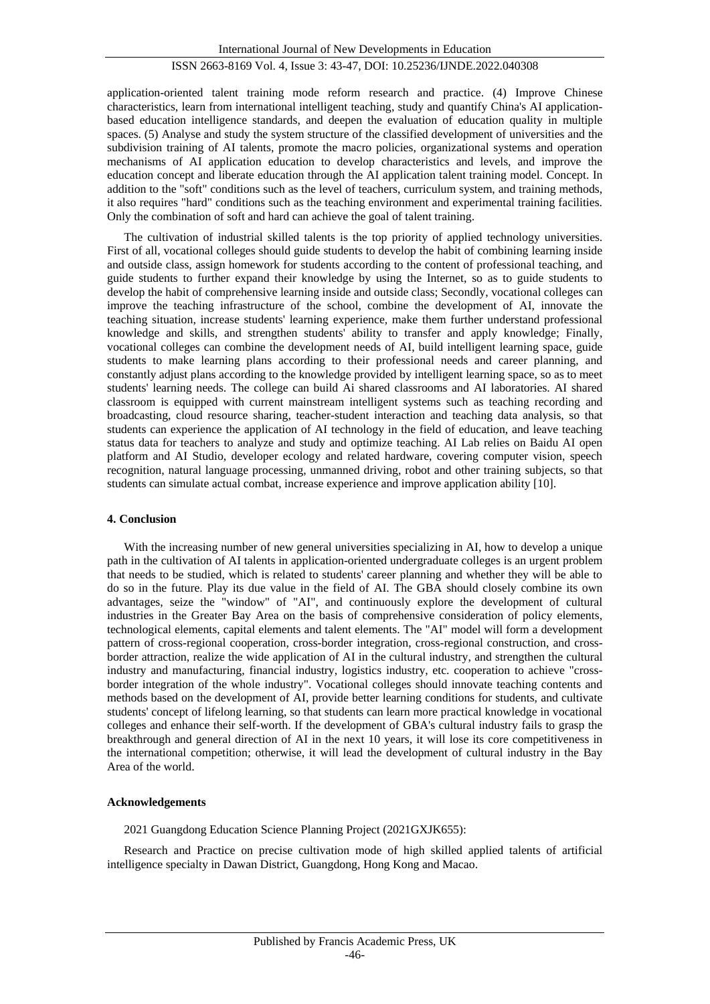application-oriented talent training mode reform research and practice. (4) Improve Chinese characteristics, learn from international intelligent teaching, study and quantify China's AI applicationbased education intelligence standards, and deepen the evaluation of education quality in multiple spaces. (5) Analyse and study the system structure of the classified development of universities and the subdivision training of AI talents, promote the macro policies, organizational systems and operation mechanisms of AI application education to develop characteristics and levels, and improve the education concept and liberate education through the AI application talent training model. Concept. In addition to the "soft" conditions such as the level of teachers, curriculum system, and training methods, it also requires "hard" conditions such as the teaching environment and experimental training facilities. Only the combination of soft and hard can achieve the goal of talent training.

The cultivation of industrial skilled talents is the top priority of applied technology universities. First of all, vocational colleges should guide students to develop the habit of combining learning inside and outside class, assign homework for students according to the content of professional teaching, and guide students to further expand their knowledge by using the Internet, so as to guide students to develop the habit of comprehensive learning inside and outside class; Secondly, vocational colleges can improve the teaching infrastructure of the school, combine the development of AI, innovate the teaching situation, increase students' learning experience, make them further understand professional knowledge and skills, and strengthen students' ability to transfer and apply knowledge; Finally, vocational colleges can combine the development needs of AI, build intelligent learning space, guide students to make learning plans according to their professional needs and career planning, and constantly adjust plans according to the knowledge provided by intelligent learning space, so as to meet students' learning needs. The college can build Ai shared classrooms and AI laboratories. AI shared classroom is equipped with current mainstream intelligent systems such as teaching recording and broadcasting, cloud resource sharing, teacher-student interaction and teaching data analysis, so that students can experience the application of AI technology in the field of education, and leave teaching status data for teachers to analyze and study and optimize teaching. AI Lab relies on Baidu AI open platform and AI Studio, developer ecology and related hardware, covering computer vision, speech recognition, natural language processing, unmanned driving, robot and other training subjects, so that students can simulate actual combat, increase experience and improve application ability [10].

#### **4. Conclusion**

With the increasing number of new general universities specializing in AI, how to develop a unique path in the cultivation of AI talents in application-oriented undergraduate colleges is an urgent problem that needs to be studied, which is related to students' career planning and whether they will be able to do so in the future. Play its due value in the field of AI. The GBA should closely combine its own advantages, seize the "window" of "AI", and continuously explore the development of cultural industries in the Greater Bay Area on the basis of comprehensive consideration of policy elements, technological elements, capital elements and talent elements. The "AI" model will form a development pattern of cross-regional cooperation, cross-border integration, cross-regional construction, and crossborder attraction, realize the wide application of AI in the cultural industry, and strengthen the cultural industry and manufacturing, financial industry, logistics industry, etc. cooperation to achieve "crossborder integration of the whole industry". Vocational colleges should innovate teaching contents and methods based on the development of AI, provide better learning conditions for students, and cultivate students' concept of lifelong learning, so that students can learn more practical knowledge in vocational colleges and enhance their self-worth. If the development of GBA's cultural industry fails to grasp the breakthrough and general direction of AI in the next 10 years, it will lose its core competitiveness in the international competition; otherwise, it will lead the development of cultural industry in the Bay Area of the world.

#### **Acknowledgements**

2021 Guangdong Education Science Planning Project (2021GXJK655):

Research and Practice on precise cultivation mode of high skilled applied talents of artificial intelligence specialty in Dawan District, Guangdong, Hong Kong and Macao.